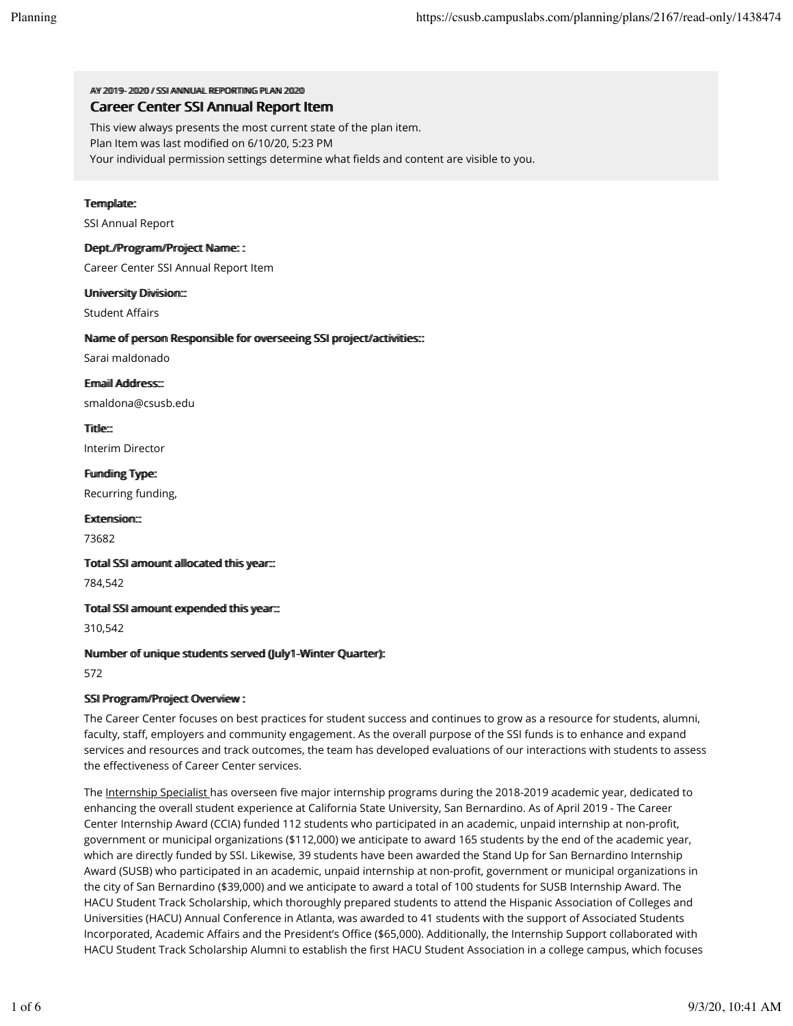AV 20119-2002 // SSIANNIHAI REPORTING PILAN 2020 Career Center SSI Annual Report Item

This view always presents the most current state of the plan item.

Plan Item was last modified on 6/10/20, 5:23 PM

Your individual permission settings determine what fields and content are visible to you.

# Termplate:

SSI Annual Report

# Dept.//Programv/Project Name: :

Career Center SSI Annual Report Item

### Uniiversiity Divisiion::

**Student Affairs** 

### Name of person Responsible for overseeing SSI project/activities:::

Sarai maldonado

Ermaiil Address:::

smaldona@csusb.edu

Tiittle-

Interim Director

Fundiing Type: Recurring funding,

Extension::

73682

Totall SSI armount alllocated thiis year:::

784,542

Totall SSI armount expended thiis year:::

310,542

# Nummber of umique students served (Jully1-Winter Quarter):

572

# SSI Program/Project Overview :

The Career Center focuses on best practices for student success and continues to grow as a resource for students, alumni, faculty, staff, employers and community engagement. As the overall purpose of the SSI funds is to enhance and expand services and resources and track outcomes, the team has developed evaluations of our interactions with students to assess the effectiveness of Career Center services.

The Internship Specialist has overseen five major internship programs during the 2018-2019 academic year, dedicated to enhancing the overall student experience at California State University, San Bernardino. As of April 2019 - The Career Center Internship Award (CCIA) funded 112 students who participated in an academic, unpaid internship at non-profit, government or municipal organizations (\$112,000) we anticipate to award 165 students by the end of the academic year, which are directly funded by SSI. Likewise, 39 students have been awarded the Stand Up for San Bernardino Internship Award (SUSB) who participated in an academic, unpaid internship at non-profit, government or municipal organizations in the city of San Bernardino (\$39,000) and we anticipate to award a total of 100 students for SUSB Internship Award. The HACU Student Track Scholarship, which thoroughly prepared students to attend the Hispanic Association of Colleges and Universities (HACU) Annual Conference in Atlanta, was awarded to 41 students with the support of Associated Students Incorporated, Academic Affairs and the President's Office (\$65,000). Additionally, the Internship Support collaborated with HACU Student Track Scholarship Alumni to establish the first HACU Student Association in a college campus, which focuses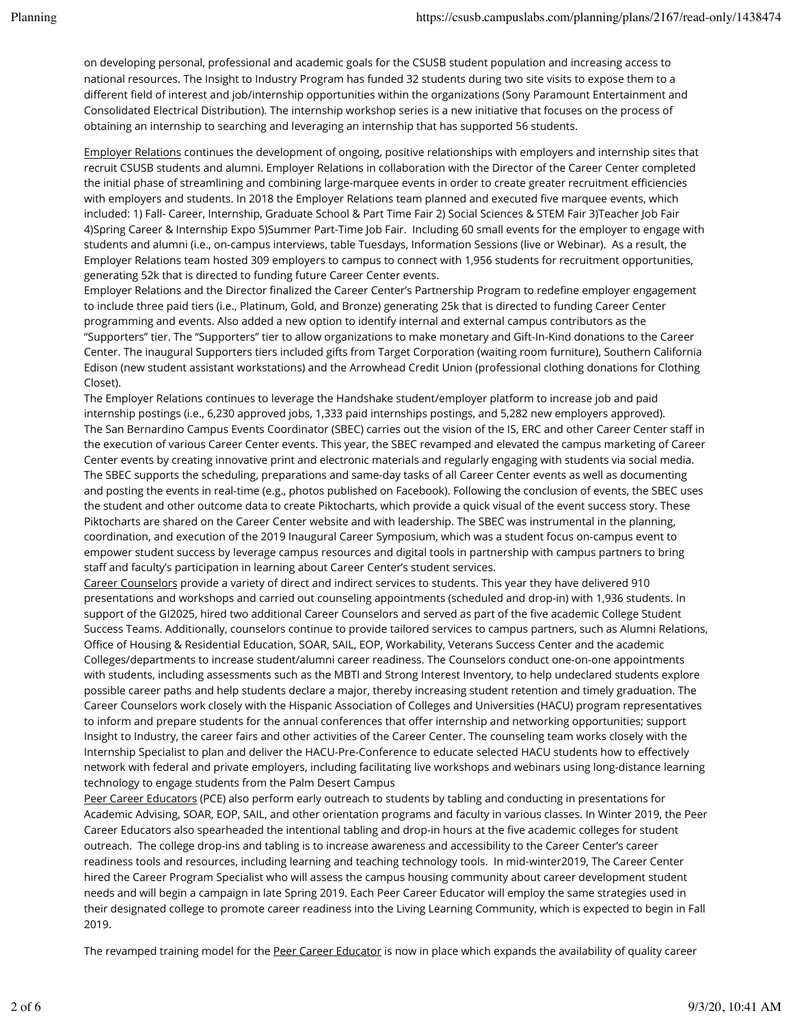on developing personal, professional and academic goals for the CSUSB student population and increasing access to national resources. The Insight to Industry Program has funded 32 students during two site visits to expose them to a different field of interest and job/internship opportunities within the organizations (Sony Paramount Entertainment and Consolidated Electrical Distribution). The internship workshop series is a new initiative that focuses on the process of obtaining an internship to searching and leveraging an internship that has supported 56 students.

Employer Relations continues the development of ongoing, positive relationships with employers and internship sites that recruit CSUSB students and alumni. Employer Relations in collaboration with the Director of the Career Center completed the initial phase of streamlining and combining large-marquee events in order to create greater recruitment efficiencies with employers and students. In 2018 the Employer Relations team planned and executed five marquee events, which included: 1) Fall- Career, Internship, Graduate School & Part Time Fair 2) Social Sciences & STEM Fair 3)Teacher Job Fair 4)Spring Career & Internship Expo 5)Summer Part-Time Job Fair. Including 60 small events for the employer to engage with students and alumni (i.e., on-campus interviews, table Tuesdays, Information Sessions (live or Webinar). As a result, the Employer Relations team hosted 309 employers to campus to connect with 1,956 students for recruitment opportunities, generating 52k that is directed to funding future Career Center events.

Employer Relations and the Director finalized the Career Center's Partnership Program to redefine employer engagement to include three paid tiers (i.e., Platinum, Gold, and Bronze) generating 25k that is directed to funding Career Center programming and events. Also added a new option to identify internal and external campus contributors as the "Supporters" tier. The "Supporters" tier to allow organizations to make monetary and Gift-In-Kind donations to the Career Center. The inaugural Supporters tiers included gifts from Target Corporation (waiting room furniture), Southern California Edison (new student assistant workstations) and the Arrowhead Credit Union (professional clothing donations for Clothing Closet).

The Employer Relations continues to leverage the Handshake student/employer platform to increase job and paid internship postings (i.e., 6,230 approved jobs, 1,333 paid internships postings, and 5,282 new employers approved). The San Bernardino Campus Events Coordinator (SBEC) carries out the vision of the IS, ERC and other Career Center staff in the execution of various Career Center events. This year, the SBEC revamped and elevated the campus marketing of Career Center events by creating innovative print and electronic materials and regularly engaging with students via social media. The SBEC supports the scheduling, preparations and same-day tasks of all Career Center events as well as documenting and posting the events in real-time (e.g., photos published on Facebook). Following the conclusion of events, the SBEC uses the student and other outcome data to create Piktocharts, which provide a quick visual of the event success story. These Piktocharts are shared on the Career Center website and with leadership. The SBEC was instrumental in the planning, coordination, and execution of the 2019 Inaugural Career Symposium, which was a student focus on-campus event to empower student success by leverage campus resources and digital tools in partnership with campus partners to bring staff and faculty's participation in learning about Career Center's student services.

Career Counselors provide a variety of direct and indirect services to students. This year they have delivered 910 presentations and workshops and carried out counseling appointments (scheduled and drop-in) with 1,936 students. In support of the GI2025, hired two additional Career Counselors and served as part of the five academic College Student Success Teams. Additionally, counselors continue to provide tailored services to campus partners, such as Alumni Relations, Office of Housing & Residential Education, SOAR, SAIL, EOP, Workability, Veterans Success Center and the academic Colleges/departments to increase student/alumni career readiness. The Counselors conduct one-on-one appointments with students, including assessments such as the MBTI and Strong Interest Inventory, to help undeclared students explore possible career paths and help students declare a major, thereby increasing student retention and timely graduation. The Career Counselors work closely with the Hispanic Association of Colleges and Universities (HACU) program representatives to inform and prepare students for the annual conferences that offer internship and networking opportunities; support Insight to Industry, the career fairs and other activities of the Career Center. The counseling team works closely with the Internship Specialist to plan and deliver the HACU-Pre-Conference to educate selected HACU students how to effectively network with federal and private employers, including facilitating live workshops and webinars using long-distance learning technology to engage students from the Palm Desert Campus

Peer Career Educators (PCE) also perform early outreach to students by tabling and conducting in presentations for Academic Advising, SOAR, EOP, SAIL, and other orientation programs and faculty in various classes. In Winter 2019, the Peer Career Educators also spearheaded the intentional tabling and drop-in hours at the five academic colleges for student outreach. The college drop-ins and tabling is to increase awareness and accessibility to the Career Center's career readiness tools and resources, including learning and teaching technology tools. In mid-winter2019, The Career Center hired the Career Program Specialist who will assess the campus housing community about career development student needs and will begin a campaign in late Spring 2019. Each Peer Career Educator will employ the same strategies used in their designated college to promote career readiness into the Living Learning Community, which is expected to begin in Fall 2019.

The revamped training model for the Peer Career Educator is now in place which expands the availability of quality career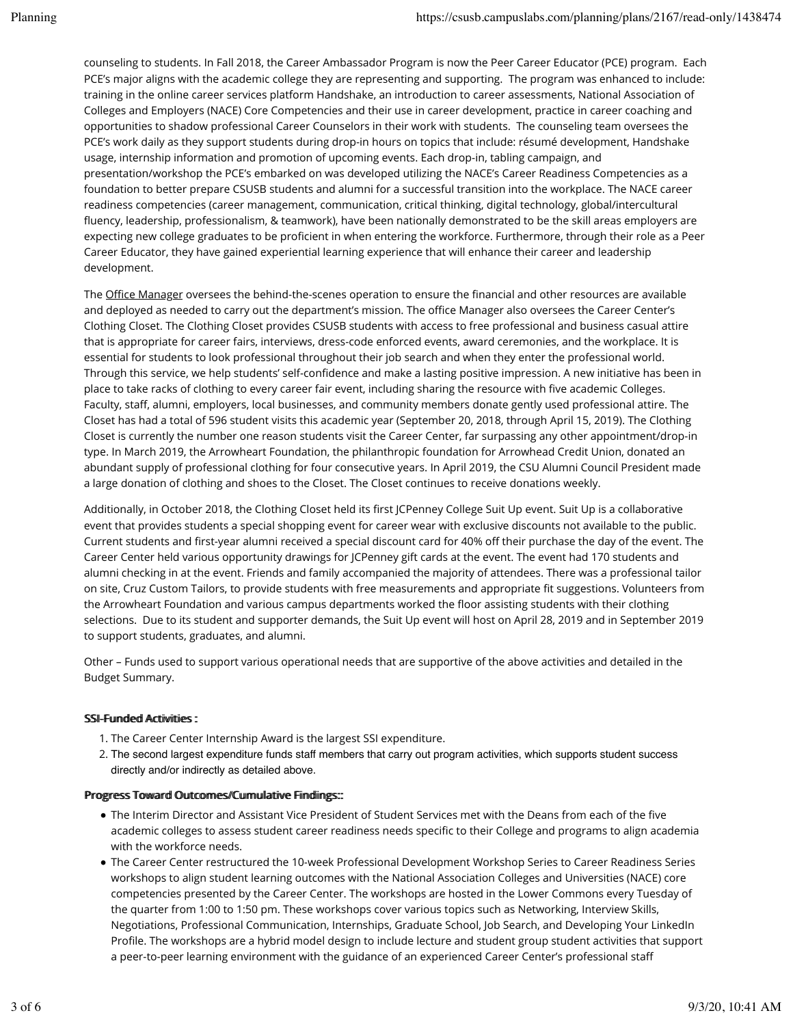counseling to students. In Fall 2018, the Career Ambassador Program is now the Peer Career Educator (PCE) program. Each PCE's major aligns with the academic college they are representing and supporting. The program was enhanced to include: training in the online career services platform Handshake, an introduction to career assessments, National Association of Colleges and Employers (NACE) Core Competencies and their use in career development, practice in career coaching and opportunities to shadow professional Career Counselors in their work with students. The counseling team oversees the PCE's work daily as they support students during drop-in hours on topics that include: résumé development, Handshake usage, internship information and promotion of upcoming events. Each drop-in, tabling campaign, and presentation/workshop the PCE's embarked on was developed utilizing the NACE's Career Readiness Competencies as a foundation to better prepare CSUSB students and alumni for a successful transition into the workplace. The NACE career readiness competencies (career management, communication, critical thinking, digital technology, global/intercultural fluency, leadership, professionalism, & teamwork), have been nationally demonstrated to be the skill areas employers are expecting new college graduates to be proficient in when entering the workforce. Furthermore, through their role as a Peer Career Educator, they have gained experiential learning experience that will enhance their career and leadership development.

The Office Manager oversees the behind-the-scenes operation to ensure the financial and other resources are available and deployed as needed to carry out the department's mission. The office Manager also oversees the Career Center's Clothing Closet. The Clothing Closet provides CSUSB students with access to free professional and business casual attire that is appropriate for career fairs, interviews, dress-code enforced events, award ceremonies, and the workplace. It is essential for students to look professional throughout their job search and when they enter the professional world. Through this service, we help students' self-confidence and make a lasting positive impression. A new initiative has been in place to take racks of clothing to every career fair event, including sharing the resource with five academic Colleges. Faculty, staff, alumni, employers, local businesses, and community members donate gently used professional attire. The Closet has had a total of 596 student visits this academic year (September 20, 2018, through April 15, 2019). The Clothing Closet is currently the number one reason students visit the Career Center, far surpassing any other appointment/drop-in type. In March 2019, the Arrowheart Foundation, the philanthropic foundation for Arrowhead Credit Union, donated an abundant supply of professional clothing for four consecutive years. In April 2019, the CSU Alumni Council President made a large donation of clothing and shoes to the Closet. The Closet continues to receive donations weekly.

Additionally, in October 2018, the Clothing Closet held its first JCPenney College Suit Up event. Suit Up is a collaborative event that provides students a special shopping event for career wear with exclusive discounts not available to the public. Current students and first-year alumni received a special discount card for 40% off their purchase the day of the event. The Career Center held various opportunity drawings for JCPenney gift cards at the event. The event had 170 students and alumni checking in at the event. Friends and family accompanied the majority of attendees. There was a professional tailor on site, Cruz Custom Tailors, to provide students with free measurements and appropriate fit suggestions. Volunteers from the Arrowheart Foundation and various campus departments worked the floor assisting students with their clothing selections. Due to its student and supporter demands, the Suit Up event will host on April 28, 2019 and in September 2019 to support students, graduates, and alumni.

Other – Funds used to support various operational needs that are supportive of the above activities and detailed in the Budget Summary.

### SSI-Fuunded Actiiviities:

- 1. The Career Center Internship Award is the largest SSI expenditure.
- 2. The second largest expenditure funds staff members that carry out program activities, which supports student success directly and/or indirectly as detailed above.

#### Progress Toward Outtcomes//Cummullattive Fiindlings:::

- . The Interim Director and Assistant Vice President of Student Services met with the Deans from each of the five academic colleges to assess student career readiness needs specific to their College and programs to align academia with the workforce needs.
- The Career Center restructured the 10-week Professional Development Workshop Series to Career Readiness Series workshops to align student learning outcomes with the National Association Colleges and Universities (NACE) core competencies presented by the Career Center. The workshops are hosted in the Lower Commons every Tuesday of the quarter from 1:00 to 1:50 pm. These workshops cover various topics such as Networking, Interview Skills, Negotiations, Professional Communication, Internships, Graduate School, Job Search, and Developing Your LinkedIn Profile. The workshops are a hybrid model design to include lecture and student group student activities that support a peer-to-peer learning environment with the guidance of an experienced Career Center's professional staff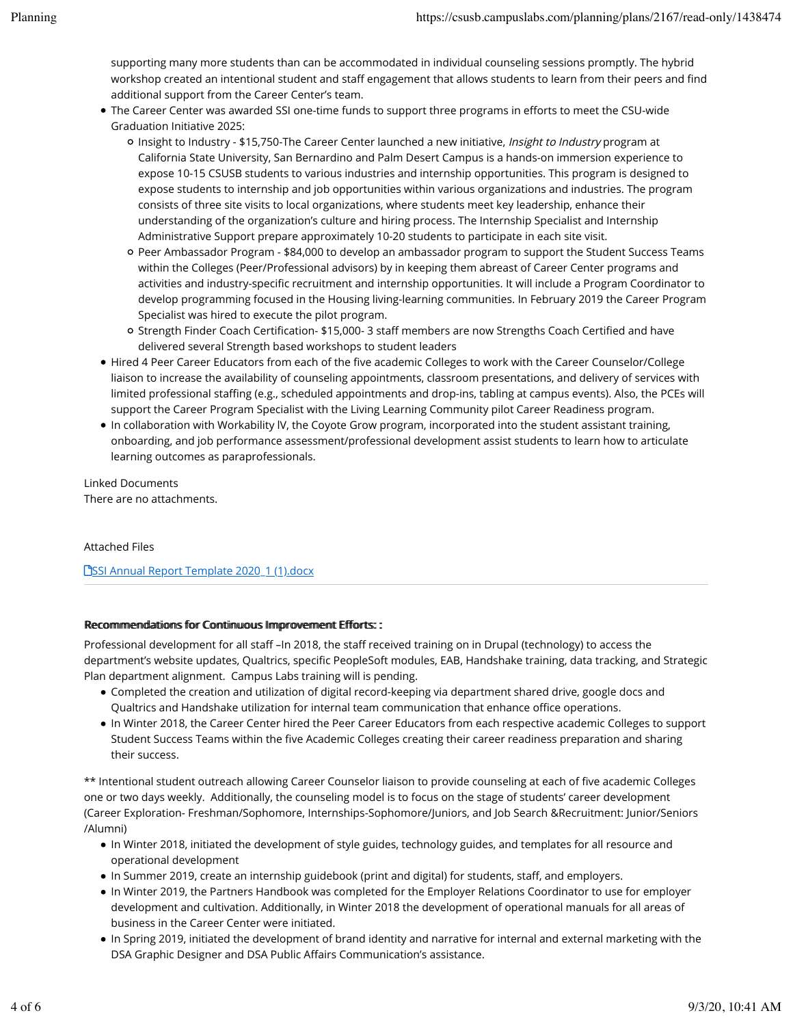supporting many more students than can be accommodated in individual counseling sessions promptly. The hybrid workshop created an intentional student and staff engagement that allows students to learn from their peers and find additional support from the Career Center's team.

- The Career Center was awarded SSI one-time funds to support three programs in efforts to meet the CSU-wide Graduation Initiative 2025:
	- o Insight to Industry \$15,750-The Career Center launched a new initiative, Insight to Industry program at California State University, San Bernardino and Palm Desert Campus is a hands-on immersion experience to expose 10-15 CSUSB students to various industries and internship opportunities. This program is designed to expose students to internship and job opportunities within various organizations and industries. The program consists of three site visits to local organizations, where students meet key leadership, enhance their understanding of the organization's culture and hiring process. The Internship Specialist and Internship Administrative Support prepare approximately 10-20 students to participate in each site visit.
	- Peer Ambassador Program \$84,000 to develop an ambassador program to support the Student Success Teams within the Colleges (Peer/Professional advisors) by in keeping them abreast of Career Center programs and activities and industry-specific recruitment and internship opportunities. It will include a Program Coordinator to develop programming focused in the Housing living-learning communities. In February 2019 the Career Program Specialist was hired to execute the pilot program.
	- o Strength Finder Coach Certification- \$15,000- 3 staff members are now Strengths Coach Certified and have delivered several Strength based workshops to student leaders
- Hired 4 Peer Career Educators from each of the five academic Colleges to work with the Career Counselor/College liaison to increase the availability of counseling appointments, classroom presentations, and delivery of services with limited professional staffing (e.g., scheduled appointments and drop-ins, tabling at campus events). Also, the PCEs will support the Career Program Specialist with the Living Learning Community pilot Career Readiness program.
- In collaboration with Workability lV, the Coyote Grow program, incorporated into the student assistant training, onboarding, and job performance assessment/professional development assist students to learn how to articulate learning outcomes as paraprofessionals.

Linked Documents There are no attachments.

### Attached Files

**PSSI Annual Report Template 2020\_1 (1).docx** 

### Recommendations for Continuous Improvement Efforts::

Professional development for all staff –In 2018, the staff received training on in Drupal (technology) to access the department's website updates, Qualtrics, specific PeopleSoft modules, EAB, Handshake training, data tracking, and Strategic Plan department alignment. Campus Labs training will is pending.

- Completed the creation and utilization of digital record-keeping via department shared drive, google docs and Qualtrics and Handshake utilization for internal team communication that enhance office operations.
- In Winter 2018, the Career Center hired the Peer Career Educators from each respective academic Colleges to support Student Success Teams within the five Academic Colleges creating their career readiness preparation and sharing their success.

\*\* Intentional student outreach allowing Career Counselor liaison to provide counseling at each of five academic Colleges one or two days weekly. Additionally, the counseling model is to focus on the stage of students' career development (Career Exploration- Freshman/Sophomore, Internships-Sophomore/Juniors, and Job Search &Recruitment: Junior/Seniors /Alumni)

- In Winter 2018, initiated the development of style guides, technology guides, and templates for all resource and operational development
- In Summer 2019, create an internship guidebook (print and digital) for students, staff, and employers.
- In Winter 2019, the Partners Handbook was completed for the Employer Relations Coordinator to use for employer development and cultivation. Additionally, in Winter 2018 the development of operational manuals for all areas of business in the Career Center were initiated.
- In Spring 2019, initiated the development of brand identity and narrative for internal and external marketing with the DSA Graphic Designer and DSA Public Affairs Communication's assistance.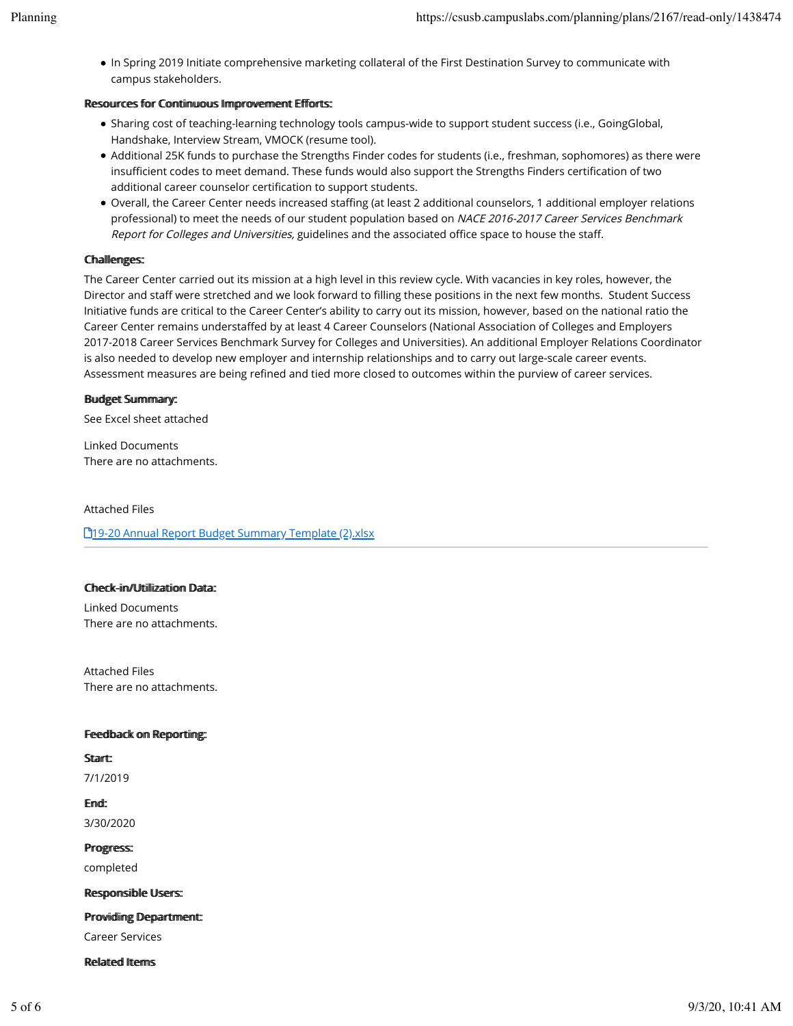. In Spring 2019 Initiate comprehensive marketing collateral of the First Destination Survey to communicate with campus stakeholders.

### Resources for Continuous Improvement Efforts:

- Sharing cost of teaching-learning technology tools campus-wide to support student success (i.e., GoingGlobal, Handshake, Interview Stream, VMOCK (resume tool).
- Additional 25K funds to purchase the Strengths Finder codes for students (i.e., freshman, sophomores) as there were insufficient codes to meet demand. These funds would also support the Strengths Finders certification of two additional career counselor certification to support students.
- . Overall, the Career Center needs increased staffing (at least 2 additional counselors, 1 additional employer relations professional) to meet the needs of our student population based on NACE 2016-2017 Career Services Benchmark Report for Colleges and Universities, guidelines and the associated office space to house the staff.

### **Challenges:**

The Career Center carried out its mission at a high level in this review cycle. With vacancies in key roles, however, the Director and staff were stretched and we look forward to filling these positions in the next few months. Student Success Initiative funds are critical to the Career Center's ability to carry out its mission, however, based on the national ratio the Career Center remains understaffed by at least 4 Career Counselors (National Association of Colleges and Employers 2017-2018 Career Services Benchmark Survey for Colleges and Universities). An additional Employer Relations Coordinator is also needed to develop new employer and internship relationships and to carry out large-scale career events. Assessment measures are being refined and tied more closed to outcomes within the purview of career services.

### **Budget Summary:**

See Excel sheet attached

**Linked Documents** There are no attachments.

#### **Attached Files**

**T**19-20 Annual Report Budget Summary Template (2).xlsx

### Check-iin/Utiiliizatiion Data:

**Linked Documents** There are no attachments.

**Attached Files** There are no attachments.

### Feedback on Reportiing:

**Start** 

7/1/2019

Emd: 3/30/2020

Progress: completed

Responsible Users:

Providiing Department:

**Career Services** 

**Related Items**